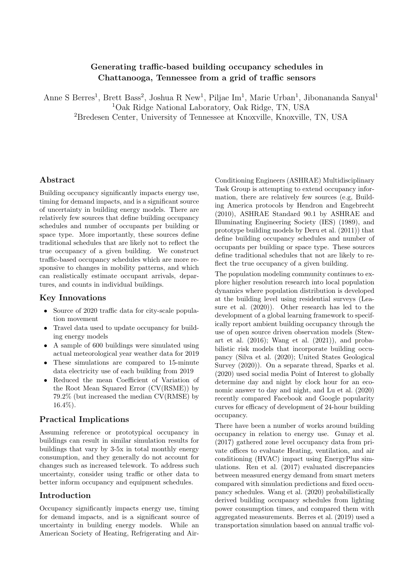# Generating traffic-based building occupancy schedules in Chattanooga, Tennessee from a grid of traffic sensors

Anne S Berres<sup>1</sup>, Brett Bass<sup>2</sup>, Joshua R New<sup>1</sup>, Piljae Im<sup>1</sup>, Marie Urban<sup>1</sup>, Jibonananda Sanyal<sup>1</sup> <sup>1</sup>Oak Ridge National Laboratory, Oak Ridge, TN, USA

<sup>2</sup>Bredesen Center, University of Tennessee at Knoxville, Knoxville, TN, USA

# Abstract

Building occupancy significantly impacts energy use, timing for demand impacts, and is a significant source of uncertainty in building energy models. There are relatively few sources that define building occupancy schedules and number of occupants per building or space type. More importantly, these sources define traditional schedules that are likely not to reflect the true occupancy of a given building. We construct traffic-based occupancy schedules which are more responsive to changes in mobility patterns, and which can realistically estimate occupant arrivals, departures, and counts in individual buildings.

## Key Innovations

- Source of 2020 traffic data for city-scale population movement
- Travel data used to update occupancy for building energy models
- A sample of 600 buildings were simulated using actual meteorological year weather data for 2019
- These simulations are compared to 15-minute data electricity use of each building from 2019
- Reduced the mean Coefficient of Variation of the Root Mean Squared Error (CV(RSME)) by 79.2% (but increased the median CV(RMSE) by 16.4%).

## Practical Implications

Assuming reference or prototypical occupancy in buildings can result in similar simulation results for buildings that vary by 3-5x in total monthly energy consumption, and they generally do not account for changes such as increased telework. To address such uncertainty, consider using traffic or other data to better inform occupancy and equipment schedules.

# Introduction

Occupancy significantly impacts energy use, timing for demand impacts, and is a significant source of uncertainty in building energy models. While an American Society of Heating, Refrigerating and Air-

Conditioning Engineers (ASHRAE) Multidisciplinary Task Group is attempting to extend occupancy information, there are relatively few sources (e.g, Building America protocols by [Hendron and Engebrecht](#page-7-0) [\(2010\)](#page-7-0), ASHRAE Standard 90.1 by [ASHRAE and](#page-6-0) [Illuminating Engineering Society \(IES\)](#page-6-0) [\(1989\)](#page-6-0), and prototype building models by [Deru et al.](#page-7-1) [\(2011\)](#page-7-1)) that define building occupancy schedules and number of occupants per building or space type. These sources define traditional schedules that not are likely to reflect the true occupancy of a given building.

The population modeling community continues to explore higher resolution research into local population dynamics where population distribution is developed at the building level using residential surveys [\(Lea](#page-7-2)[sure et al.](#page-7-2) [\(2020\)](#page-7-2)). Other research has led to the development of a global learning framework to specifically report ambient building occupancy through the use of open source driven observation models [\(Stew](#page-7-3)[art et al.](#page-7-3) [\(2016\)](#page-7-3); [Wang et al.](#page-7-4) [\(2021\)](#page-7-4)), and probabilistic risk models that incorporate building occupancy [\(Silva et al.](#page-7-5) [\(2020\)](#page-7-5); [United States Geological](#page-7-6) [Survey](#page-7-6) [\(2020\)](#page-7-6)). On a separate thread, [Sparks et al.](#page-7-7) [\(2020\)](#page-7-7) used social media Point of Interest to globally determine day and night by clock hour for an economic answer to day and night, and [Lu et al.](#page-7-8) [\(2020\)](#page-7-8) recently compared Facebook and Google popularity curves for efficacy of development of 24-hour building occupancy.

There have been a number of works around building occupancy in relation to energy use. [Gunay et al.](#page-7-9) [\(2017\)](#page-7-9) gathered zone level occupancy data from private offices to evaluate Heating, ventilation, and air conditioning (HVAC) impact using EnergyPlus simulations. [Ren et al.](#page-7-10) [\(2017\)](#page-7-10) evaluated discrepancies between measured energy demand from smart meters compared with simulation predictions and fixed occupancy schedules. [Wang et al.](#page-7-11) [\(2020\)](#page-7-11) probabilistically derived building occupancy schedules from lighting power consumption times, and compared them with aggregated measurements. [Berres et al.](#page-6-1) [\(2019\)](#page-6-1) used a transportation simulation based on annual traffic vol-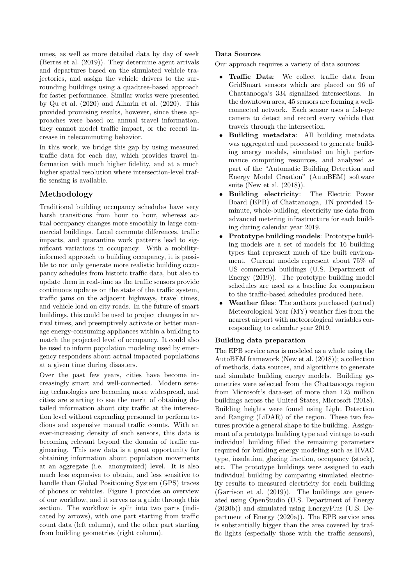umes, as well as more detailed data by day of week [\(Berres et al.](#page-6-2) [\(2019\)](#page-6-2)). They determine agent arrivals and departures based on the simulated vehicle trajectories, and assign the vehicle drivers to the surrounding buildings using a quadtree-based approach for faster performance. Similar works were presented by [Qu et al.](#page-7-12) [\(2020\)](#page-7-12) and [Alharin et al.](#page-6-3) [\(2020\)](#page-6-3). This provided promising results, however, since these approaches were based on annual travel information, they cannot model traffic impact, or the recent increase in telecommuting behavior.

In this work, we bridge this gap by using measured traffic data for each day, which provides travel information with much higher fidelity, and at a much higher spatial resolution where intersection-level traffic sensing is available.

# Methodology

Traditional building occupancy schedules have very harsh transitions from hour to hour, whereas actual occupancy changes more smoothly in large commercial buildings. Local commute differences, traffic impacts, and quarantine work patterns lead to significant variations in occupancy. With a mobilityinformed approach to building occupancy, it is possible to not only generate more realistic building occupancy schedules from historic traffic data, but also to update them in real-time as the traffic sensors provide continuous updates on the state of the traffic system, traffic jams on the adjacent highways, travel times, and vehicle load on city roads. In the future of smart buildings, this could be used to project changes in arrival times, and preemptively activate or better manage energy-consuming appliances within a building to match the projected level of occupancy. It could also be used to inform population modeling used by emergency responders about actual impacted populations at a given time during disasters.

Over the past few years, cities have become increasingly smart and well-connected. Modern sensing technologies are becoming more widespread, and cities are starting to see the merit of obtaining detailed information about city traffic at the intersection level without expending personnel to perform tedious and expensive manual traffic counts. With an ever-increasing density of such sensors, this data is becoming relevant beyond the domain of traffic engineering. This new data is a great opportunity for obtaining information about population movements at an aggregate (i.e. anonymized) level. It is also much less expensive to obtain, and less sensitive to handle than Global Positioning System (GPS) traces of phones or vehicles. Figure [1](#page-2-0) provides an overview of our workflow, and it serves as a guide through this section. The workflow is split into two parts (indicated by arrows), with one part starting from traffic count data (left column), and the other part starting from building geometries (right column).

### Data Sources

Our approach requires a variety of data sources:

- Traffic Data: We collect traffic data from GridSmart sensors which are placed on 96 of Chattanooga's 334 signalized intersections. In the downtown area, 45 sensors are forming a wellconnected network. Each sensor uses a fish-eye camera to detect and record every vehicle that travels through the intersection.
- Building metadata: All building metadata was aggregated and processed to generate building energy models, simulated on high performance computing resources, and analyzed as part of the "Automatic Building Detection and Energy Model Creation" (AutoBEM) software suite [\(New et al.](#page-7-13) [\(2018\)](#page-7-13)).
- Building electricity: The Electric Power Board (EPB) of Chattanooga, TN provided 15 minute, whole-building, electricity use data from advanced metering infrastructure for each building during calendar year 2019.
- Prototype building models: Prototype building models are a set of models for 16 building types that represent much of the built environment. Current models represent about 75% of US commercial buildings [\(U.S. Department of](#page-7-14) [Energy](#page-7-14) [\(2019\)](#page-7-14)). The prototype building model schedules are used as a baseline for comparison to the traffic-based schedules produced here.
- Weather files: The authors purchased (actual) Meteorological Year (MY) weather files from the nearest airport with meteorological variables corresponding to calendar year 2019.

### Building data preparation

The EPB service area is modeled as a whole using the AutoBEM framework [\(New et al.](#page-7-13) [\(2018\)](#page-7-13)); a collection of methods, data sources, and algorithms to generate and simulate building energy models. Building geometries were selected from the Chattanooga region from Microsoft's data-set of more than 125 million buildings across the United States, [Microsoft](#page-7-15) [\(2018\)](#page-7-15). Building heights were found using Light Detection and Ranging (LiDAR) of the region. These two features provide a general shape to the building. Assignment of a prototype building type and vintage to each individual building filled the remaining parameters required for building energy modeling such as HVAC type, insulation, glazing fraction, occupancy (stock), etc. The prototype buildings were assigned to each individual building by comparing simulated electricity results to measured electricity for each building [\(Garrison et al.](#page-7-16) [\(2019\)](#page-7-16)). The buildings are generated using OpenStudio [\(U.S. Department of Energy](#page-7-17) [\(2020b\)](#page-7-17)) and simulated using EnergyPlus [\(U.S. De](#page-7-18)[partment of Energy](#page-7-18) [\(2020a\)](#page-7-18)). The EPB service area is substantially bigger than the area covered by traffic lights (especially those with the traffic sensors),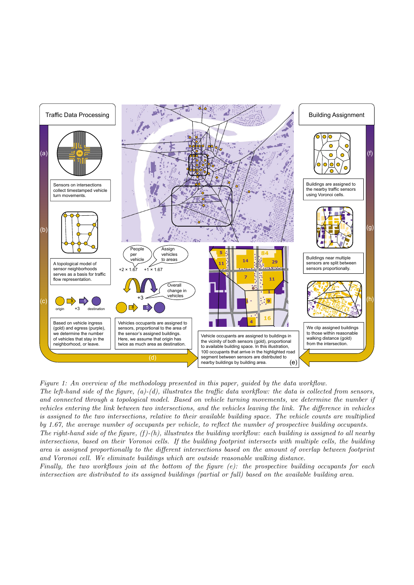<span id="page-2-0"></span>

Figure 1: An overview of the methodology presented in this paper, guided by the data workflow.

and Voronoi cell. We eliminate buildings which are outside reasonable walking distance.  $illustrates the building we$ intersections, based on their Voronoi cells. If the building footprint intersects with multiple cells, the building by 1.67, the average number of occupants per vehicle, to reflect the number of prospective building occupants. The right-hand side of the figure,  $(f)$ - $(h)$ , illustrates the building workflow: each building is assigned to all nearby area is assigned proportionally to the different intersections based on the amount of overlap between footprint The left-hand side of the figure,  $(a)-(d)$ , illustrates the traffic data workflow: the data is collected from sensors, and connected through a topological model. Based on vehicle turning movements, we determine the number if vehicles entering the link between two intersections, and the vehicles leaving the link. The difference in vehicles is assigned to the two intersections, relative to their available building space. The vehicle counts are multiplied

intersection are distributed to its assigned buildings (partial or full) based on the available building area. Finally, the two workflows join at the bottom of the figure  $(e)$ : the prospective building occupants for each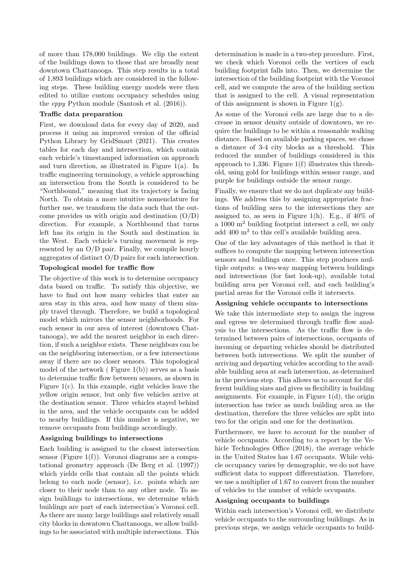of more than 178,000 buildings. We clip the extent of the buildings down to those that are broadly near downtown Chattanooga. This step results in a total of 1,893 buildings which are considered in the following steps. These building energy models were then edited to utilize custom occupancy schedules using the eppy Python module [\(Santosh et al.](#page-7-19) [\(2016\)](#page-7-19)).

#### Traffic data preparation

First, we download data for every day of 2020, and process it using an improved version of the official Python Library by [GridSmart](#page-7-20) [\(2021\)](#page-7-20). This creates tables for each day and intersection, which contain each vehicle's timestamped information on approach and turn direction, as illustrated in Figure [1\(](#page-2-0)a). In traffic engineering terminology, a vehicle approaching an intersection from the South is considered to be "Northbound," meaning that its trajectory is facing North. To obtain a more intuitive nomenclature for further use, we transform the data such that the outcome provides us with origin and destination  $(O/D)$ direction. For example, a Northbound that turns left has its origin in the South and destination in the West. Each vehicle's turning movement is represented by an O/D pair. Finally, we compile hourly aggregates of distinct O/D pairs for each intersection.

#### Topological model for traffic flow

The objective of this work is to determine occupancy data based on traffic. To satisfy this objective, we have to find out how many vehicles that enter an area stay in this area, and how many of them simply travel through. Therefore, we build a topological model which mirrors the sensor neighborhoods. For each sensor in our area of interest (downtown Chattanooga), we add the nearest neighbor in each direction, if such a neighbor exists. These neighbors can be on the neighboring intersection, or a few intersections away if there are no closer sensors. This topological model of the network ( $Figure 1(b)$  $Figure 1(b)$  $Figure 1(b)$ ) serves as a basis to determine traffic flow between sensors, as shown in Figure [1\(](#page-2-0)c). In this example, eight vehicles leave the yellow origin sensor, but only five vehicles arrive at the destination sensor. Three vehicles stayed behind in the area, and the vehicle occupants can be added to nearby buildings. If this number is negative, we remove occupants from buildings accordingly.

#### Assigning buildings to intersections

Each building is assigned to the closest intersection sensor (Figure [1\(](#page-2-0)f)). Voronoi diagrams are a computational geometry approach [\(De Berg et al.](#page-7-21) [\(1997\)](#page-7-21)) which yields cells that contain all the points which belong to each node (sensor), i.e. points which are closer to their node than to any other node. To assign buildings to intersections, we determine which buildings are part of each intersection's Voronoi cell. As there are many large buildings and relatively small city blocks in downtown Chattanooga, we allow buildings to be associated with multiple intersections. This

determination is made in a two-step procedure. First, we check which Voronoi cells the vertices of each building footprint falls into. Then, we determine the intersection of the building footprint with the Voronoi cell, and we compute the area of the building section that is assigned to the cell. A visual representation of this assignment is shown in Figure  $1(g)$ .

As some of the Voronoi cells are large due to a decrease in sensor density outside of downtown, we require the buildings to be within a reasonable walking distance. Based on available parking spaces, we chose a distance of 3-4 city blocks as a threshold. This reduced the number of buildings considered in this approach to 1,336. Figure [1\(](#page-2-0)f) illustrates this threshold, using gold for buildings within sensor range, and purple for buildings outside the sensor range.

Finally, we ensure that we do not duplicate any buildings. We address this by assigning appropriate fractions of building area to the intersections they are assigned to, as seen in Figure [1\(](#page-2-0)h). E.g., if  $40\%$  of a 1000 m<sup>2</sup> building footprint intersect a cell, we only add 400 m<sup>2</sup> to this cell's available building area.

One of the key advantages of this method is that it suffices to compute the mapping between intersection sensors and buildings once. This step produces multiple outputs: a two-way mapping between buildings and intersections (for fast look-up), available total building area per Voronoi cell, and each building's partial areas for the Voronoi cells it intersects.

#### Assigning vehicle occupants to intersections

We take this intermediate step to assign the ingress and egress we determined through traffic flow analysis to the intersections. As the traffic flow is determined between pairs of intersections, occupants of incoming or departing vehicles should be distributed between both intersections. We split the number of arriving and departing vehicles according to the available building area at each intersection, as determined in the previous step. This allows us to account for different building sizes and gives us flexibility in building assignments. For example, in Figure  $1(d)$ , the origin intersection has twice as much building area as the destination, therefore the three vehicles are split into two for the origin and one for the destination.

Furthermore, we have to account for the number of vehicle occupants. According to a report by the [Ve](#page-7-22)[hicle Technologies Office](#page-7-22) [\(2018\)](#page-7-22), the average vehicle in the United States has 1.67 occupants. While vehicle occupancy varies by demographic, we do not have sufficient data to support differentiation. Therefore, we use a multiplier of 1.67 to convert from the number of vehicles to the number of vehicle occupants.

#### Assigning occupants to buildings

Within each intersection's Voronoi cell, we distribute vehicle occupants to the surrounding buildings. As in previous steps, we assign vehicle occupants to build-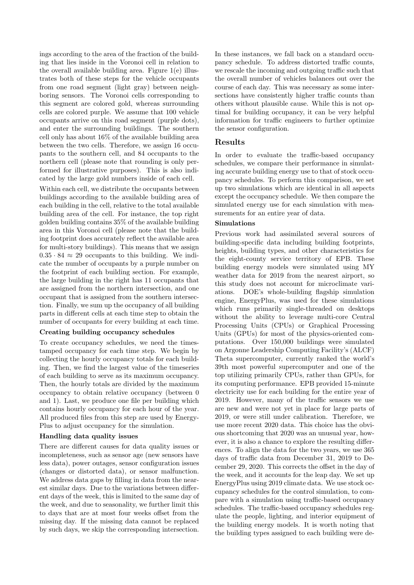ings according to the area of the fraction of the building that lies inside in the Voronoi cell in relation to the overall available building area. Figure  $1(e)$  illustrates both of these steps for the vehicle occupants from one road segment (light gray) between neighboring sensors. The Voronoi cells corresponding to this segment are colored gold, whereas surrounding cells are colored purple. We assume that 100 vehicle occupants arrive on this road segment (purple dots), and enter the surrounding buildings. The southern cell only has about 16% of the available building area between the two cells. Therefore, we assign 16 occupants to the southern cell, and 84 occupants to the northern cell (please note that rounding is only performed for illustrative purposes). This is also indicated by the large gold numbers inside of each cell.

Within each cell, we distribute the occupants between buildings according to the available building area of each building in the cell, relative to the total available building area of the cell. For instance, the top right golden building contains 35% of the available building area in this Voronoi cell (please note that the building footprint does accurately reflect the available area for multi-story buildings). This means that we assign  $0.35 \cdot 84 \approx 29$  occupants to this building. We indicate the number of occupants by a purple number on the footprint of each building section. For example, the large building in the right has 11 occupants that are assigned from the northern intersection, and one occupant that is assigned from the southern intersection. Finally, we sum up the occupancy of all building parts in different cells at each time step to obtain the number of occupants for every building at each time.

## Creating building occupancy schedules

To create occupancy schedules, we need the timestamped occupancy for each time step. We begin by collecting the hourly occupancy totals for each building. Then, we find the largest value of the timeseries of each building to serve as its maximum occupancy. Then, the hourly totals are divided by the maximum occupancy to obtain relative occupancy (between 0 and 1). Last, we produce one file per building which contains hourly occupancy for each hour of the year. All produced files from this step are used by Energy-Plus to adjust occupancy for the simulation.

#### Handling data quality issues

There are different causes for data quality issues or incompleteness, such as sensor age (new sensors have less data), power outages, sensor configuration issues (changes or distorted data), or sensor malfunction. We address data gaps by filling in data from the nearest similar days. Due to the variations between different days of the week, this is limited to the same day of the week, and due to seasonality, we further limit this to days that are at most four weeks offset from the missing day. If the missing data cannot be replaced by such days, we skip the corresponding intersection.

In these instances, we fall back on a standard occupancy schedule. To address distorted traffic counts, we rescale the incoming and outgoing traffic such that the overall number of vehicles balances out over the course of each day. This was necessary as some intersections have consistently higher traffic counts than others without plausible cause. While this is not optimal for building occupancy, it can be very helpful information for traffic engineers to further optimize the sensor configuration.

#### Results

In order to evaluate the traffic-based occupancy schedules, we compare their performance in simulating accurate building energy use to that of stock occupancy schedules. To perform this comparison, we set up two simulations which are identical in all aspects except the occupancy schedule. We then compare the simulated energy use for each simulation with measurements for an entire year of data.

#### Simulations

Previous work had assimilated several sources of building-specific data including building footprints, heights, building types, and other characteristics for the eight-county service territory of EPB. These building energy models were simulated using MY weather data for 2019 from the nearest airport, so this study does not account for microclimate variations. DOE's whole-building flagship simulation engine, EnergyPlus, was used for these simulations which runs primarily single-threaded on desktops without the ability to leverage multi-core Central Processing Units (CPUs) or Graphical Processing Units (GPUs) for most of the physics-oriented computations. Over 150,000 buildings were simulated on Argonne Leadership Computing Facility's (ALCF) Theta supercomputer, currently ranked the world's 39th most powerful supercomputer and one of the top utilizing primarily CPUs, rather than GPUs, for its computing performance. EPB provided 15-minute electricity use for each building for the entire year of 2019. However, many of the traffic sensors we use are new and were not yet in place for large parts of 2019, or were still under calibration. Therefore, we use more recent 2020 data. This choice has the obvious shortcoming that 2020 was an unusual year, however, it is also a chance to explore the resulting differences. To align the data for the two years, we use 365 days of traffic data from December 31, 2019 to December 29, 2020. This corrects the offset in the day of the week, and it accounts for the leap day. We set up EnergyPlus using 2019 climate data. We use stock occupancy schedules for the control simulation, to compare with a simulation using traffic-based occupancy schedules. The traffic-based occupancy schedules regulate the people, lighting, and interior equipment of the building energy models. It is worth noting that the building types assigned to each building were de-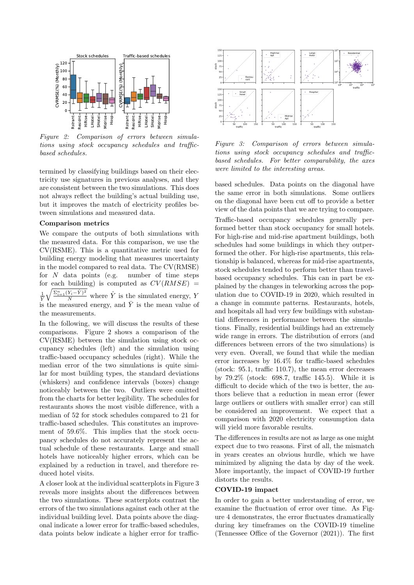<span id="page-5-0"></span>

Figure 2: Comparison of errors between simulations using stock occupancy schedules and trafficbased schedules.

termined by classifying buildings based on their electricity use signatures in previous analyses, and they are consistent between the two simulations. This does not always reflect the building's actual building use, but it improves the match of electricity profiles between simulations and measured data.

#### Comparison metrics

We compare the outputs of both simulations with the measured data. For this comparison, we use the CV(RSME). This is a quantitative metric used for building energy modeling that measures uncertainty in the model compared to real data. The CV(RMSE) for  $N$  data points (e.g. number of time steps for each building) is computed as  $CV(RMSE)$  =  $\frac{1}{\bar{Y}}$  $\sqrt{\frac{\sum_{i=1}^{n}(Y_i-\hat{Y})^2}{N}}$  where  $\hat{Y}$  is the simulated energy, Y is the measured energy, and  $\overline{Y}$  is the mean value of the measurements.

In the following, we will discuss the results of these comparisons. Figure [2](#page-5-0) shows a comparison of the CV(RSME) between the simulation using stock occupancy schedules (left) and the simulation using traffic-based occupancy schedules (right). While the median error of the two simulations is quite similar for most building types, the standard deviations (whiskers) and confidence intervals (boxes) change noticeably between the two. Outliers were omitted from the charts for better legibility. The schedules for restaurants shows the most visible difference, with a median of 52 for stock schedules compared to 21 for traffic-based schedules. This constitutes an improvement of 59.6%. This implies that the stock occupancy schedules do not accurately represent the actual schedule of these restaurants. Large and small hotels have noticeably higher errors, which can be explained by a reduction in travel, and therefore reduced hotel visits.

A closer look at the individual scatterplots in Figure [3](#page-5-1) reveals more insights about the differences between the two simulations. These scatterplots contrast the errors of the two simulations against each other at the individual building level. Data points above the diagonal indicate a lower error for traffic-based schedules, data points below indicate a higher error for traffic-

<span id="page-5-1"></span>

Figure 3: Comparison of errors between simulations using stock occupancy schedules and trafficbased schedules. For better comparability, the axes were limited to the interesting areas.

based schedules. Data points on the diagonal have the same error in both simulations. Some outliers on the diagonal have been cut off to provide a better view of the data points that we are trying to compare.

Traffic-based occupancy schedules generally performed better than stock occupancy for small hotels. For high-rise and mid-rise apartment buildings, both schedules had some buildings in which they outperformed the other. For high-rise apartments, this relationship is balanced, whereas for mid-rise apartments, stock schedules tended to perform better than travelbased occupancy schedules. This can in part be explained by the changes in teleworking across the population due to COVID-19 in 2020, which resulted in a change in commute patterns. Restaurants, hotels, and hospitals all had very few buildings with substantial differences in performance between the simulations. Finally, residential buildings had an extremely wide range in errors. The distribution of errors (and differences between errors of the two simulations) is very even. Overall, we found that while the median error increases by 16.4% for traffic-based schedules (stock: 95.1, traffic 110.7), the mean error decreases by 79.2% (stock: 698.7, traffic 145.5). While it is difficult to decide which of the two is better, the authors believe that a reduction in mean error (fewer large outliers or outliers with smaller error) can still be considered an improvement. We expect that a comparison with 2020 electricity consumption data will yield more favorable results.

The differences in results are not as large as one might expect due to two reasons. First of all, the mismatch in years creates an obvious hurdle, which we have minimized by aligning the data by day of the week. More importantly, the impact of COVID-19 further distorts the results.

# COVID-19 impact

In order to gain a better understanding of error, we examine the fluctuation of error over time. As Figure [4](#page-6-4) demonstrates, the error fluctuates dramatically during key timeframes on the COVID-19 timeline [\(Tennessee Office of the Governor](#page-7-23) [\(2021\)](#page-7-23)). The first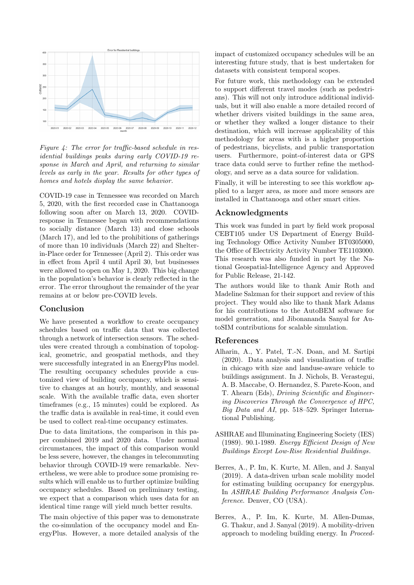<span id="page-6-4"></span>

Figure 4: The error for traffic-based schedule in residential buildings peaks during early COVID-19 response in March and April, and returning to similar levels as early in the year. Results for other types of homes and hotels display the same behavior.

COVID-19 case in Tennessee was recorded on March 5, 2020, with the first recorded case in Chattanooga following soon after on March 13, 2020. COVIDresponse in Tennessee began with recommendations to socially distance (March 13) and close schools (March 17), and led to the prohibitions of gatherings of more than 10 individuals (March 22) and Shelterin-Place order for Tennessee (April 2). This order was in effect from April 4 until April 30, but businesses were allowed to open on May 1, 2020. This big change in the population's behavior is clearly reflected in the error. The error throughout the remainder of the year remains at or below pre-COVID levels.

## Conclusion

We have presented a workflow to create occupancy schedules based on traffic data that was collected through a network of intersection sensors. The schedules were created through a combination of topological, geometric, and geospatial methods, and they were successfully integrated in an EnergyPlus model. The resulting occupancy schedules provide a customized view of building occupancy, which is sensitive to changes at an hourly, monthly, and seasonal scale. With the available traffic data, even shorter timeframes (e.g., 15 minutes) could be explored. As the traffic data is available in real-time, it could even be used to collect real-time occupancy estimates.

Due to data limitations, the comparison in this paper combined 2019 and 2020 data. Under normal circumstances, the impact of this comparison would be less severe, however, the changes in telecommuting behavior through COVID-19 were remarkable. Nevertheless, we were able to produce some promising results which will enable us to further optimize building occupancy schedules. Based on preliminary testing, we expect that a comparison which uses data for an identical time range will yield much better results.

The main objective of this paper was to demonstrate the co-simulation of the occupancy model and EnergyPlus. However, a more detailed analysis of the

impact of customized occupancy schedules will be an interesting future study, that is best undertaken for datasets with consistent temporal scopes.

For future work, this methodology can be extended to support different travel modes (such as pedestrians). This will not only introduce additional individuals, but it will also enable a more detailed record of whether drivers visited buildings in the same area, or whether they walked a longer distance to their destination, which will increase applicability of this methodology for areas with is a higher proportion of pedestrians, bicyclists, and public transportation users. Furthermore, point-of-interest data or GPS trace data could serve to further refine the methodology, and serve as a data source for validation.

Finally, it will be interesting to see this workflow applied to a larger area, as more and more sensors are installed in Chattanooga and other smart cities.

# Acknowledgments

This work was funded in part by field work proposal CEBT105 under US Department of Energy Building Technology Office Activity Number BT0305000, the Office of Electricity Activity Number TE1103000. This research was also funded in part by the National Geospatial-Intelligence Agency and Approved for Public Release, 21-142.

The authors would like to thank Amir Roth and Madeline Salzman for their support and review of this project. They would also like to thank Mark Adams for his contributions to the AutoBEM software for model generation, and Jibonananda Sanyal for AutoSIM contributions for scalable simulation.

#### References

- <span id="page-6-3"></span>Alharin, A., Y. Patel, T.-N. Doan, and M. Sartipi (2020). Data analysis and visualization of traffic in chicago with size and landuse-aware vehicle to buildings assignment. In J. Nichols, B. Verastegui, A. B. Maccabe, O. Hernandez, S. Parete-Koon, and T. Ahearn (Eds), Driving Scientific and Engineering Discoveries Through the Convergence of HPC, Big Data and AI, pp. 518–529. Springer International Publishing.
- <span id="page-6-0"></span>ASHRAE and Illuminating Engineering Society (IES) (1989). 90.1-1989. Energy Efficient Design of New Buildings Except Low-Rise Residential Buildings.
- <span id="page-6-1"></span>Berres, A., P. Im, K. Kurte, M. Allen, and J. Sanyal (2019). A data-driven urban scale mobility model for estimating building occupancy for energyplus. In ASHRAE Building Performance Analysis Conference. Denver, CO (USA).
- <span id="page-6-2"></span>Berres, A., P. Im, K. Kurte, M. Allen-Dumas, G. Thakur, and J. Sanyal (2019). A mobility-driven approach to modeling building energy. In Proceed-